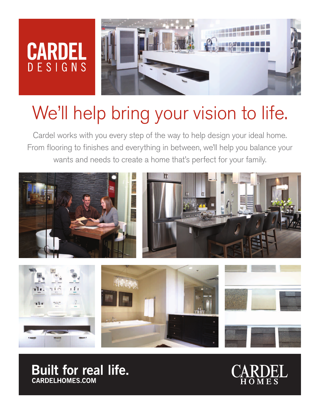## **CARDEL DESIGNS**



# We'll help bring your vision to life.

Cardel works with you every step of the way to help design your ideal home. From flooring to finishes and everything in between, we'll help you balance your wants and needs to create a home that's perfect for your family.



**Built for real life. CARDELHOMES.COM**